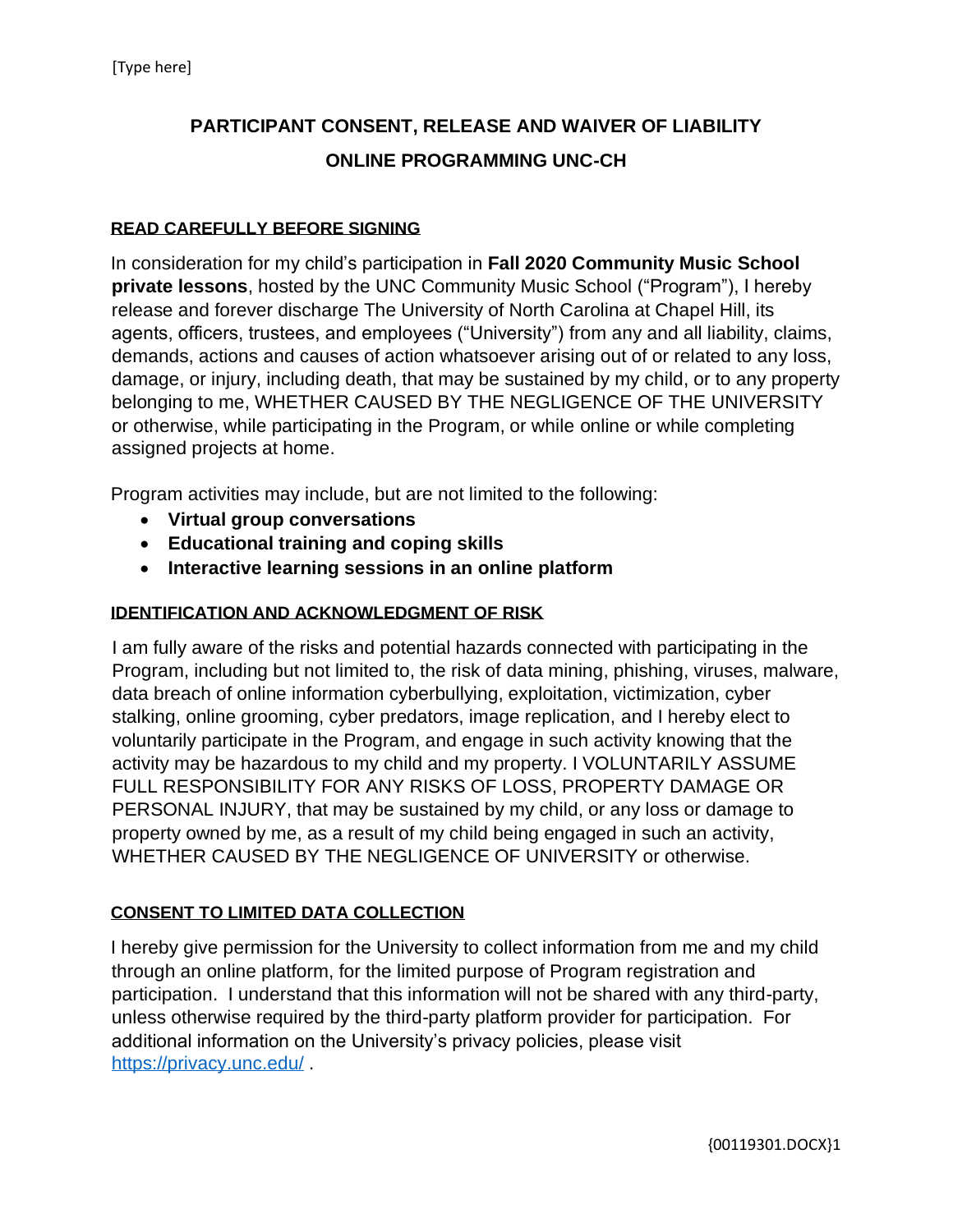# **PARTICIPANT CONSENT, RELEASE AND WAIVER OF LIABILITY ONLINE PROGRAMMING UNC-CH**

#### **READ CAREFULLY BEFORE SIGNING**

In consideration for my child's participation in **Fall 2020 Community Music School private lessons**, hosted by the UNC Community Music School ("Program"), I hereby release and forever discharge The University of North Carolina at Chapel Hill, its agents, officers, trustees, and employees ("University") from any and all liability, claims, demands, actions and causes of action whatsoever arising out of or related to any loss, damage, or injury, including death, that may be sustained by my child, or to any property belonging to me, WHETHER CAUSED BY THE NEGLIGENCE OF THE UNIVERSITY or otherwise, while participating in the Program, or while online or while completing assigned projects at home.

Program activities may include, but are not limited to the following:

- **Virtual group conversations**
- **Educational training and coping skills**
- **Interactive learning sessions in an online platform**

## **IDENTIFICATION AND ACKNOWLEDGMENT OF RISK**

I am fully aware of the risks and potential hazards connected with participating in the Program, including but not limited to, the risk of data mining, phishing, viruses, malware, data breach of online information cyberbullying, exploitation, victimization, cyber stalking, online grooming, cyber predators, image replication, and I hereby elect to voluntarily participate in the Program, and engage in such activity knowing that the activity may be hazardous to my child and my property. I VOLUNTARILY ASSUME FULL RESPONSIBILITY FOR ANY RISKS OF LOSS, PROPERTY DAMAGE OR PERSONAL INJURY, that may be sustained by my child, or any loss or damage to property owned by me, as a result of my child being engaged in such an activity, WHETHER CAUSED BY THE NEGLIGENCE OF UNIVERSITY or otherwise.

#### **CONSENT TO LIMITED DATA COLLECTION**

I hereby give permission for the University to collect information from me and my child through an online platform, for the limited purpose of Program registration and participation. I understand that this information will not be shared with any third-party, unless otherwise required by the third-party platform provider for participation. For additional information on the University's privacy policies, please visit <https://privacy.unc.edu/> .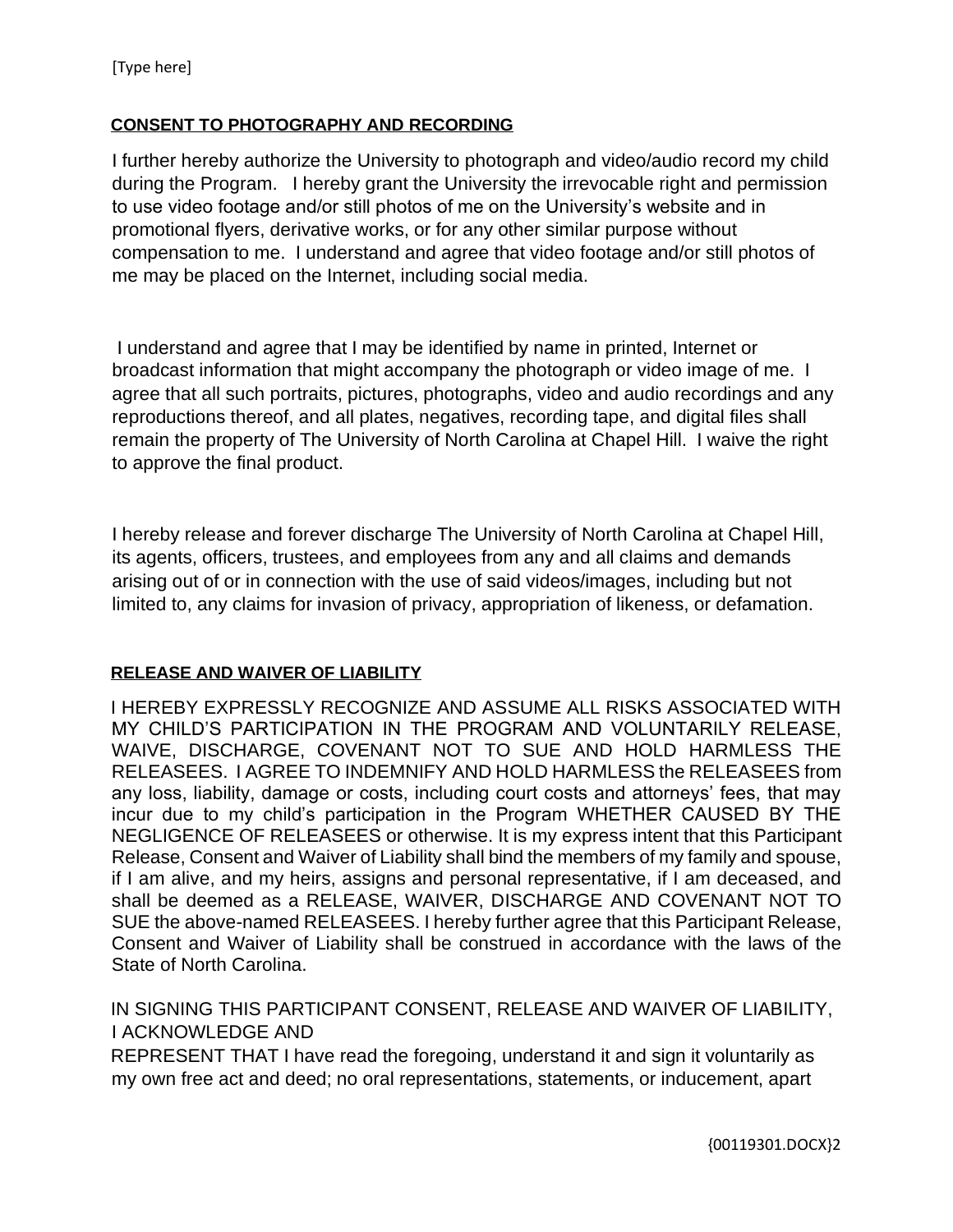### **CONSENT TO PHOTOGRAPHY AND RECORDING**

I further hereby authorize the University to photograph and video/audio record my child during the Program. I hereby grant the University the irrevocable right and permission to use video footage and/or still photos of me on the University's website and in promotional flyers, derivative works, or for any other similar purpose without compensation to me. I understand and agree that video footage and/or still photos of me may be placed on the Internet, including social media.

I understand and agree that I may be identified by name in printed, Internet or broadcast information that might accompany the photograph or video image of me. I agree that all such portraits, pictures, photographs, video and audio recordings and any reproductions thereof, and all plates, negatives, recording tape, and digital files shall remain the property of The University of North Carolina at Chapel Hill. I waive the right to approve the final product.

I hereby release and forever discharge The University of North Carolina at Chapel Hill, its agents, officers, trustees, and employees from any and all claims and demands arising out of or in connection with the use of said videos/images, including but not limited to, any claims for invasion of privacy, appropriation of likeness, or defamation.

## **RELEASE AND WAIVER OF LIABILITY**

I HEREBY EXPRESSLY RECOGNIZE AND ASSUME ALL RISKS ASSOCIATED WITH MY CHILD'S PARTICIPATION IN THE PROGRAM AND VOLUNTARILY RELEASE, WAIVE, DISCHARGE, COVENANT NOT TO SUE AND HOLD HARMLESS THE RELEASEES. I AGREE TO INDEMNIFY AND HOLD HARMLESS the RELEASEES from any loss, liability, damage or costs, including court costs and attorneys' fees, that may incur due to my child's participation in the Program WHETHER CAUSED BY THE NEGLIGENCE OF RELEASEES or otherwise. It is my express intent that this Participant Release, Consent and Waiver of Liability shall bind the members of my family and spouse, if I am alive, and my heirs, assigns and personal representative, if I am deceased, and shall be deemed as a RELEASE, WAIVER, DISCHARGE AND COVENANT NOT TO SUE the above-named RELEASEES. I hereby further agree that this Participant Release, Consent and Waiver of Liability shall be construed in accordance with the laws of the State of North Carolina.

IN SIGNING THIS PARTICIPANT CONSENT, RELEASE AND WAIVER OF LIABILITY, I ACKNOWLEDGE AND

REPRESENT THAT I have read the foregoing, understand it and sign it voluntarily as my own free act and deed; no oral representations, statements, or inducement, apart